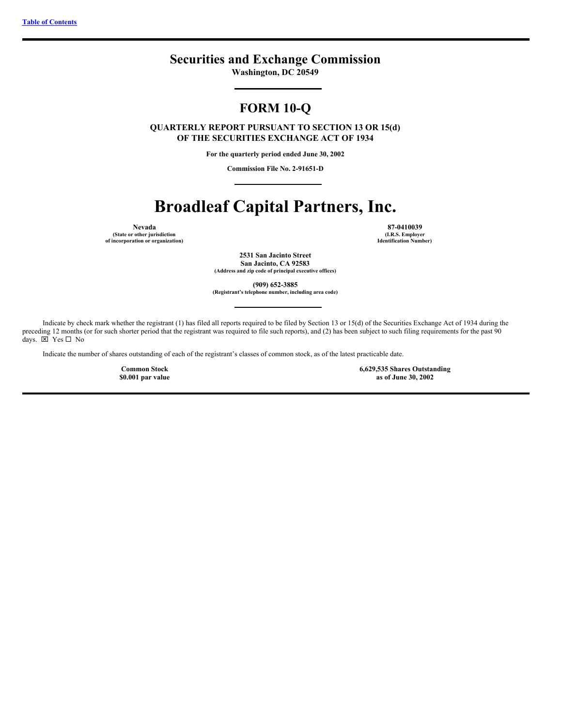## **Securities and Exchange Commission**

**Washington, DC 20549**

# **FORM 10-Q**

**QUARTERLY REPORT PURSUANT TO SECTION 13 OR 15(d) OF THE SECURITIES EXCHANGE ACT OF 1934**

**For the quarterly period ended June 30, 2002**

**Commission File No. 2-91651-D**

# **Broadleaf Capital Partners, Inc.**

**Nevada**

**(State or other jurisdiction of incorporation or organization)**

**87-0410039 (I.R.S. Employer Identification Number)**

**2531 San Jacinto Street San Jacinto, CA 92583 (Address and zip code of principal executive offices)**

**(909) 652-3885**

**(Registrant's telephone number, including area code)**

Indicate by check mark whether the registrant (1) has filed all reports required to be filed by Section 13 or 15(d) of the Securities Exchange Act of 1934 during the preceding 12 months (or for such shorter period that the registrant was required to file such reports), and (2) has been subject to such filing requirements for the past 90 days.  $\overline{\boxtimes}$  Yes  $\Box$  No

Indicate the number of shares outstanding of each of the registrant's classes of common stock, as of the latest practicable date.

**Common Stock \$0.001 par value** **6,629,535 Shares Outstanding as of June 30, 2002**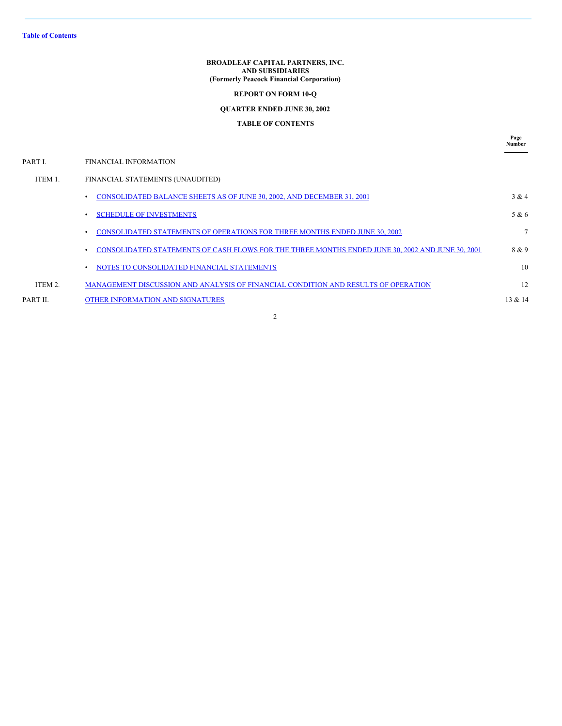**Table of [Contents](#page-1-0)**

**BROADLEAF CAPITAL PARTNERS, INC. AND SUBSIDIARIES (Formerly Peacock Financial Corporation)**

## **REPORT ON FORM 10-Q**

## **QUARTER ENDED JUNE 30, 2002**

## <span id="page-1-0"></span>**TABLE OF CONTENTS**

**Page Number**

| PART I.  | FINANCIAL INFORMATION                                                                            |         |
|----------|--------------------------------------------------------------------------------------------------|---------|
| ITEM 1.  | FINANCIAL STATEMENTS (UNAUDITED)                                                                 |         |
|          | CONSOLIDATED BALANCE SHEETS AS OF JUNE 30, 2002, AND DECEMBER 31, 2001                           | 3 & 4   |
|          | <b>SCHEDULE OF INVESTMENTS</b>                                                                   | 5 & 6   |
|          | <b>CONSOLIDATED STATEMENTS OF OPERATIONS FOR THREE MONTHS ENDED JUNE 30, 2002</b>                |         |
|          | CONSOLIDATED STATEMENTS OF CASH FLOWS FOR THE THREE MONTHS ENDED JUNE 30, 2002 AND JUNE 30, 2001 | 8 & 9   |
|          | NOTES TO CONSOLIDATED FINANCIAL STATEMENTS                                                       | 10      |
| ITEM 2.  | MANAGEMENT DISCUSSION AND ANALYSIS OF FINANCIAL CONDITION AND RESULTS OF OPERATION               | 12      |
| PART II. | OTHER INFORMATION AND SIGNATURES                                                                 | 13 & 14 |
|          |                                                                                                  |         |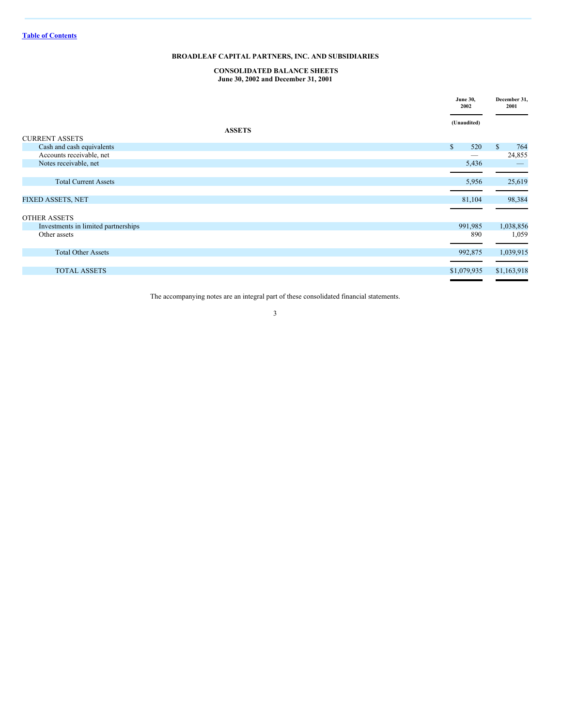#### <span id="page-2-0"></span>**CONSOLIDATED BALANCE SHEETS June 30, 2002 and December 31, 2001**

|                                     | <b>June 30,</b><br>2002 | December 31,<br>2001 |
|-------------------------------------|-------------------------|----------------------|
| <b>ASSETS</b>                       | (Unaudited)             |                      |
| <b>CURRENT ASSETS</b>               |                         |                      |
| Cash and cash equivalents           | $\mathbf{s}$<br>520     | $\mathbb{S}$<br>764  |
| Accounts receivable, net            | -                       | 24,855               |
| Notes receivable, net               | 5,436                   |                      |
|                                     |                         |                      |
| <b>Total Current Assets</b>         | 5,956                   | 25,619               |
|                                     |                         |                      |
| <b>FIXED ASSETS, NET</b>            | 81,104                  | 98,384               |
|                                     |                         |                      |
| <b>OTHER ASSETS</b>                 |                         |                      |
| Investments in limited partnerships | 991,985                 | 1,038,856            |
| Other assets                        | 890                     | 1,059                |
|                                     |                         |                      |
| <b>Total Other Assets</b>           | 992,875                 | 1,039,915            |
|                                     |                         |                      |
| <b>TOTAL ASSETS</b>                 | \$1,079,935             | \$1,163,918          |
|                                     |                         |                      |

The accompanying notes are an integral part of these consolidated financial statements.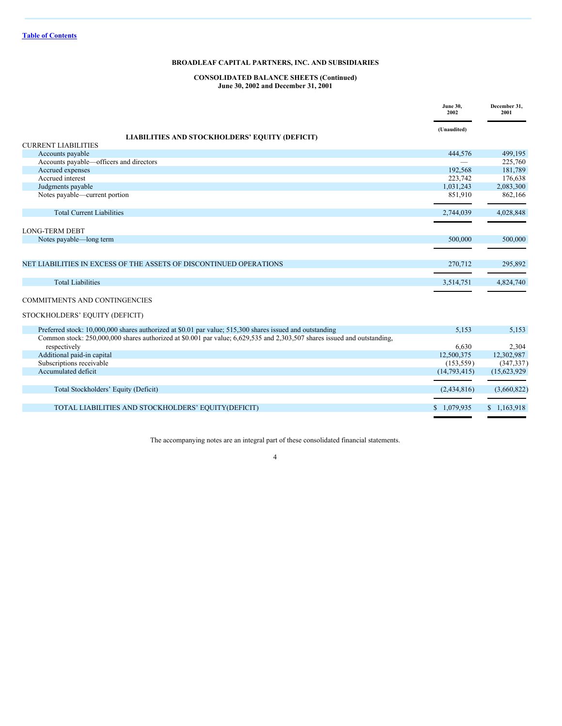## **CONSOLIDATED BALANCE SHEETS (Continued) June 30, 2002 and December 31, 2001**

|                                                                                                                                          | <b>June 30,</b><br>2002 | December 31,<br>2001 |
|------------------------------------------------------------------------------------------------------------------------------------------|-------------------------|----------------------|
|                                                                                                                                          | (Unaudited)             |                      |
| LIABILITIES AND STOCKHOLDERS' EQUITY (DEFICIT)<br><b>CURRENT LIABILITIES</b>                                                             |                         |                      |
| Accounts payable                                                                                                                         | 444,576                 | 499,195              |
| Accounts payable—officers and directors                                                                                                  |                         | 225,760              |
| Accrued expenses                                                                                                                         | 192.568                 | 181,789              |
| Accrued interest                                                                                                                         | 223,742                 | 176,638              |
| Judgments payable                                                                                                                        | 1,031,243               | 2,083,300            |
| Notes payable—current portion                                                                                                            | 851,910                 | 862,166              |
| <b>Total Current Liabilities</b>                                                                                                         | 2,744,039               | 4,028,848            |
| <b>LONG-TERM DEBT</b>                                                                                                                    |                         |                      |
| Notes payable—long term                                                                                                                  | 500,000                 | 500,000              |
| NET LIABILITIES IN EXCESS OF THE ASSETS OF DISCONTINUED OPERATIONS                                                                       | 270,712                 | 295,892              |
| <b>Total Liabilities</b>                                                                                                                 | 3,514,751               | 4,824,740            |
| <b>COMMITMENTS AND CONTINGENCIES</b>                                                                                                     |                         |                      |
| STOCKHOLDERS' EQUITY (DEFICIT)                                                                                                           |                         |                      |
| Preferred stock: 10,000,000 shares authorized at \$0.01 par value; 515,300 shares issued and outstanding                                 | 5,153                   | 5,153                |
| Common stock: 250,000,000 shares authorized at \$0.001 par value; 6,629,535 and 2,303,507 shares issued and outstanding,<br>respectively | 6.630                   | 2,304                |
| Additional paid-in capital                                                                                                               | 12,500,375              | 12,302,987           |
| Subscriptions receivable                                                                                                                 | (153, 559)              | (347, 337)           |
| Accumulated deficit                                                                                                                      | (14, 793, 415)          | (15,623,929)         |
| Total Stockholders' Equity (Deficit)                                                                                                     | (2,434,816)             | (3,660,822)          |

TOTAL LIABILITIES AND STOCKHOLDERS' EQUITY(DEFICIT) \$ 1,079,935 \$ 1,163,918

The accompanying notes are an integral part of these consolidated financial statements.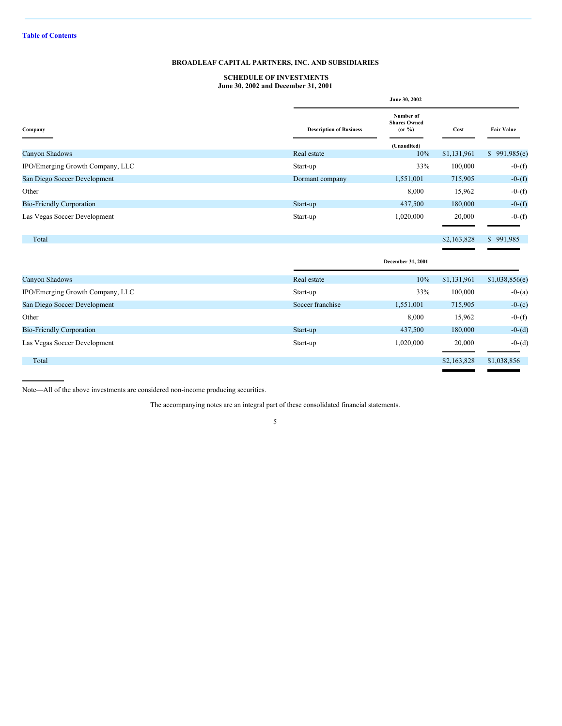## <span id="page-4-0"></span>**SCHEDULE OF INVESTMENTS June 30, 2002 and December 31, 2001**

|                                  |                                | June 30, 2002                                |             |                   |  |
|----------------------------------|--------------------------------|----------------------------------------------|-------------|-------------------|--|
| Company                          | <b>Description of Business</b> | Number of<br><b>Shares Owned</b><br>(or 9/6) | Cost        | <b>Fair Value</b> |  |
|                                  |                                | (Unaudited)                                  |             |                   |  |
| Canyon Shadows                   | Real estate                    | 10%                                          | \$1,131,961 | 991,985(e)        |  |
| IPO/Emerging Growth Company, LLC | Start-up                       | 33%                                          | 100,000     | $-0-(f)$          |  |
| San Diego Soccer Development     | Dormant company                | 1,551,001                                    | 715,905     | $-0-(f)$          |  |
| Other                            |                                | 8,000                                        | 15,962      | $-0-(f)$          |  |
| <b>Bio-Friendly Corporation</b>  | Start-up                       | 437,500                                      | 180,000     | $-0-(f)$          |  |
| Las Vegas Soccer Development     | Start-up                       | 1,020,000                                    | 20,000      | $-0-(f)$          |  |
| Total                            |                                |                                              | \$2,163,828 | \$991,985         |  |
|                                  |                                | December 31, 2001                            |             |                   |  |
| Canyon Shadows                   | Real estate                    | 10%                                          | \$1,131,961 | \$1,038,856(e)    |  |
| IPO/Emerging Growth Company, LLC | Start-up                       | 33%                                          | 100,000     | $-0-(a)$          |  |
| San Diego Soccer Development     | Soccer franchise               | 1,551,001                                    | 715,905     | $-0-(c)$          |  |
| Other                            |                                | 8,000                                        | 15,962      | $-0-(f)$          |  |
| <b>Bio-Friendly Corporation</b>  | Start-up                       | 437,500                                      | 180,000     | $-0-(d)$          |  |
| Las Vegas Soccer Development     | Start-up                       | 1,020,000                                    | 20,000      | $-0-(d)$          |  |
| Total                            |                                |                                              | \$2,163,828 | \$1,038,856       |  |
|                                  |                                |                                              |             |                   |  |

Note—All of the above investments are considered non-income producing securities.

The accompanying notes are an integral part of these consolidated financial statements.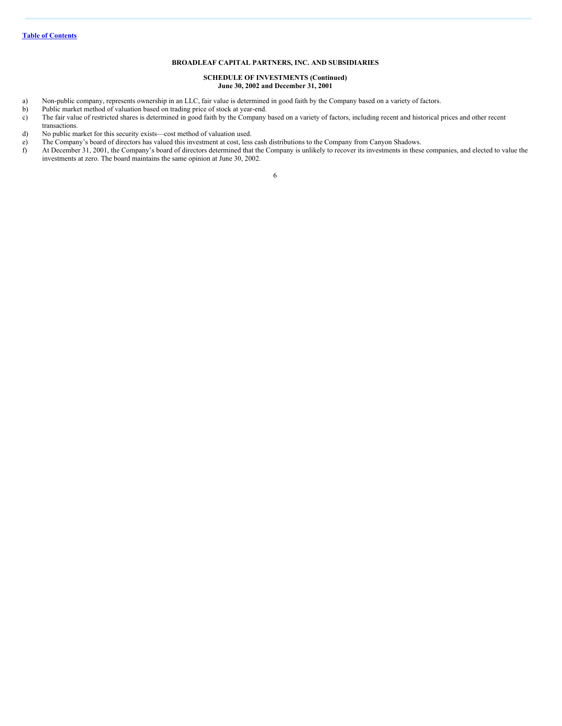#### **SCHEDULE OF INVESTMENTS (Continued) June 30, 2002 and December 31, 2001**

- a) Non-public company, represents ownership in an LLC, fair value is determined in good faith by the Company based on a variety of factors.
- Public market method of valuation based on trading price of stock at year-end.
- c) The fair value of restricted shares is determined in good faith by the Company based on a variety of factors, including recent and historical prices and other recent
- transactions. d) No public market for this security exists—cost method of valuation used.
- 
- e) The Company's board of directors has valued this investment at cost, less cash distributions to the Company from Canyon Shadows.<br>
At December 31, 2001, the Company's board of directors determined that the Company is unl At December 31, 2001, the Company's board of directors determined that the Company is unlikely to recover its investments in these companies, and elected to value the investments at zero. The board maintains the same opinion at June 30, 2002.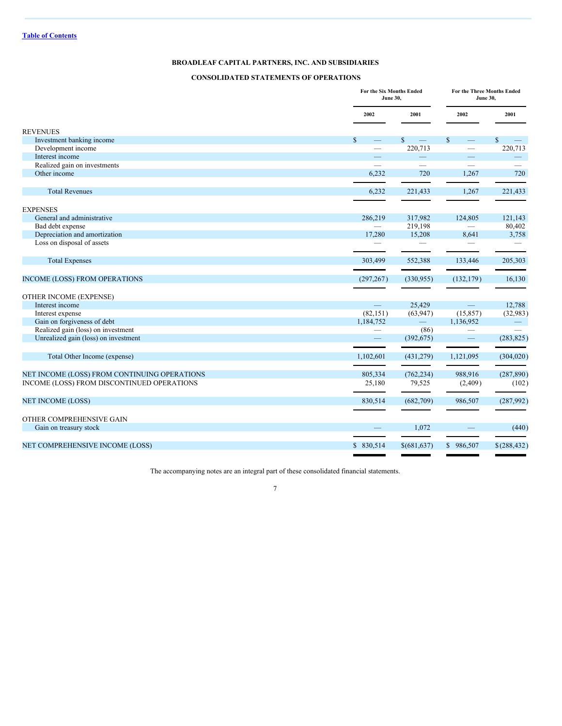## <span id="page-6-0"></span>**CONSOLIDATED STATEMENTS OF OPERATIONS**

|                                                                                            |                                   | For the Six Months Ended<br><b>June 30,</b> |                                          | For the Three Months Ended<br><b>June 30,</b> |  |
|--------------------------------------------------------------------------------------------|-----------------------------------|---------------------------------------------|------------------------------------------|-----------------------------------------------|--|
|                                                                                            | 2002                              | 2001                                        | 2002                                     | 2001                                          |  |
| <b>REVENUES</b>                                                                            |                                   |                                             |                                          |                                               |  |
| Investment banking income                                                                  | $\mathbb{S}$<br>$\qquad \qquad -$ | $\mathbb{S}$                                | $\mathbf{s}$<br>$\overline{\phantom{0}}$ | $\mathbb{S}$                                  |  |
| Development income                                                                         |                                   | 220,713                                     | $\overline{\phantom{0}}$                 | 220,713                                       |  |
| Interest income                                                                            |                                   |                                             | $\qquad \qquad$                          |                                               |  |
| Realized gain on investments                                                               | $\overline{\phantom{a}}$          |                                             | $\overline{\phantom{0}}$                 |                                               |  |
| Other income                                                                               | 6,232                             | 720                                         | 1,267                                    | 720                                           |  |
| <b>Total Revenues</b>                                                                      | 6,232                             | 221,433                                     | 1,267                                    | 221,433                                       |  |
|                                                                                            |                                   |                                             |                                          |                                               |  |
| <b>EXPENSES</b>                                                                            |                                   |                                             |                                          |                                               |  |
| General and administrative                                                                 | 286,219                           | 317,982                                     | 124,805                                  | 121,143                                       |  |
| Bad debt expense                                                                           | $\overline{\phantom{0}}$          | 219,198                                     |                                          | 80,402                                        |  |
| Depreciation and amortization                                                              | 17,280                            | 15,208                                      | 8,641                                    | 3,758                                         |  |
| Loss on disposal of assets                                                                 |                                   |                                             |                                          |                                               |  |
| <b>Total Expenses</b>                                                                      | 303,499                           | 552,388                                     | 133,446                                  | 205,303                                       |  |
| <b>INCOME (LOSS) FROM OPERATIONS</b>                                                       | (297, 267)                        | (330,955)                                   | (132, 179)                               | 16,130                                        |  |
| OTHER INCOME (EXPENSE)                                                                     |                                   |                                             |                                          |                                               |  |
| Interest income                                                                            | $\equiv$                          | 25,429                                      | $\equiv$                                 | 12,788                                        |  |
| Interest expense                                                                           | (82, 151)                         | (63, 947)                                   | (15, 857)                                | (32,983)                                      |  |
| Gain on forgiveness of debt                                                                | 1,184,752                         | $\overline{\phantom{0}}$                    | 1,136,952                                |                                               |  |
| Realized gain (loss) on investment                                                         |                                   | (86)                                        | $\hspace{0.1mm}-\hspace{0.1mm}$          |                                               |  |
| Unrealized gain (loss) on investment                                                       | $\overline{\phantom{0}}$          | (392, 675)                                  | $\qquad \qquad -$                        | (283, 825)                                    |  |
| Total Other Income (expense)                                                               | 1,102,601                         | (431, 279)                                  | 1,121,095                                | (304, 020)                                    |  |
|                                                                                            | 805,334                           |                                             | 988,916                                  | (287, 890)                                    |  |
| NET INCOME (LOSS) FROM CONTINUING OPERATIONS<br>INCOME (LOSS) FROM DISCONTINUED OPERATIONS |                                   | (762, 234)<br>79,525                        |                                          | (102)                                         |  |
|                                                                                            | 25,180                            |                                             | (2, 409)                                 |                                               |  |
| <b>NET INCOME (LOSS)</b>                                                                   | 830,514                           | (682,709)                                   | 986,507                                  | (287,992)                                     |  |
| OTHER COMPREHENSIVE GAIN                                                                   |                                   |                                             |                                          |                                               |  |
| Gain on treasury stock                                                                     |                                   | 1,072                                       |                                          | (440)                                         |  |
| NET COMPREHENSIVE INCOME (LOSS)                                                            | \$ 830,514                        | \$(681, 637)                                | \$986,507                                | \$(288, 432)                                  |  |

The accompanying notes are an integral part of these consolidated financial statements.

j,

 $\blacksquare$ 

j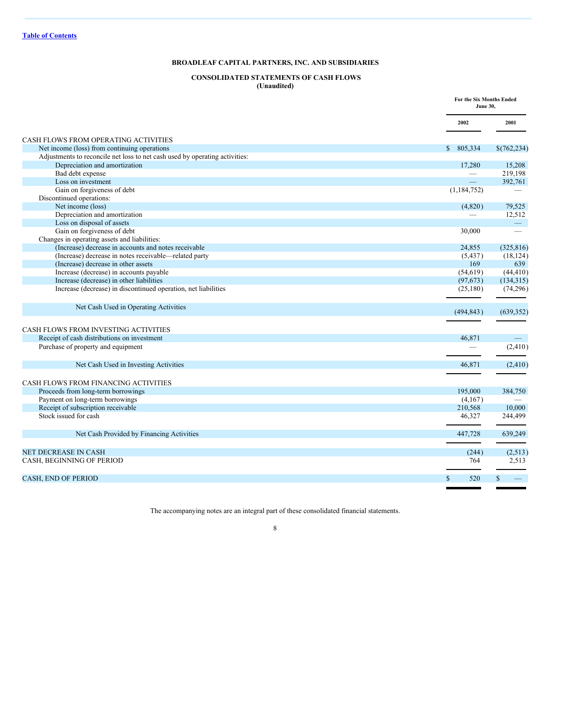## <span id="page-7-0"></span>**CONSOLIDATED STATEMENTS OF CASH FLOWS (Unaudited)**

|                                                                             |                          | For the Six Months Ended<br><b>June 30,</b> |  |
|-----------------------------------------------------------------------------|--------------------------|---------------------------------------------|--|
|                                                                             | 2002                     | 2001                                        |  |
| CASH FLOWS FROM OPERATING ACTIVITIES                                        |                          |                                             |  |
| Net income (loss) from continuing operations                                | \$805.334                | \$(762, 234)                                |  |
| Adjustments to reconcile net loss to net cash used by operating activities: |                          |                                             |  |
| Depreciation and amortization                                               | 17,280                   | 15,208                                      |  |
| Bad debt expense                                                            | $\overline{\phantom{0}}$ | 219,198                                     |  |
| Loss on investment                                                          |                          | 392,761                                     |  |
| Gain on forgiveness of debt                                                 | (1, 184, 752)            |                                             |  |
| Discontinued operations:                                                    |                          |                                             |  |
| Net income (loss)                                                           | (4,820)                  | 79,525                                      |  |
| Depreciation and amortization                                               |                          | 12,512                                      |  |
| Loss on disposal of assets                                                  |                          | $\overline{\phantom{0}}$                    |  |
| Gain on forgiveness of debt                                                 | 30,000                   | $\overline{\phantom{0}}$                    |  |
| Changes in operating assets and liabilities:                                |                          |                                             |  |
| (Increase) decrease in accounts and notes receivable                        | 24,855                   | (325, 816)                                  |  |
| (Increase) decrease in notes receivable-related party                       | (5, 437)                 | (18, 124)                                   |  |
| (Increase) decrease in other assets                                         | 169                      | 639                                         |  |
| Increase (decrease) in accounts payable                                     | (54, 619)                | (44, 410)                                   |  |
| Increase (decrease) in other liabilities                                    | (97, 673)                | (134, 315)                                  |  |
| Increase (decrease) in discontinued operation, net liabilities              | (25, 180)                | (74, 296)                                   |  |
| Net Cash Used in Operating Activities                                       | (494, 843)               | (639, 352)                                  |  |
| CASH FLOWS FROM INVESTING ACTIVITIES                                        |                          |                                             |  |
| Receipt of cash distributions on investment                                 | 46,871                   |                                             |  |
| Purchase of property and equipment                                          |                          | (2, 410)                                    |  |
|                                                                             |                          |                                             |  |
| Net Cash Used in Investing Activities                                       | 46.871                   | (2, 410)                                    |  |
| CASH FLOWS FROM FINANCING ACTIVITIES                                        |                          |                                             |  |
| Proceeds from long-term borrowings                                          | 195,000                  | 384,750                                     |  |
| Payment on long-term borrowings                                             | (4,167)                  |                                             |  |
| Receipt of subscription receivable                                          | 210,568                  | 10,000                                      |  |
| Stock issued for cash                                                       | 46,327                   | 244,499                                     |  |
| Net Cash Provided by Financing Activities                                   | 447,728                  | 639,249                                     |  |
| <b>NET DECREASE IN CASH</b>                                                 | (244)                    | (2,513)                                     |  |
| CASH, BEGINNING OF PERIOD                                                   | 764                      | 2,513                                       |  |
| <b>CASH, END OF PERIOD</b>                                                  | $\mathbf{s}$<br>520      | $\mathbb{S}$                                |  |
|                                                                             |                          |                                             |  |

The accompanying notes are an integral part of these consolidated financial statements.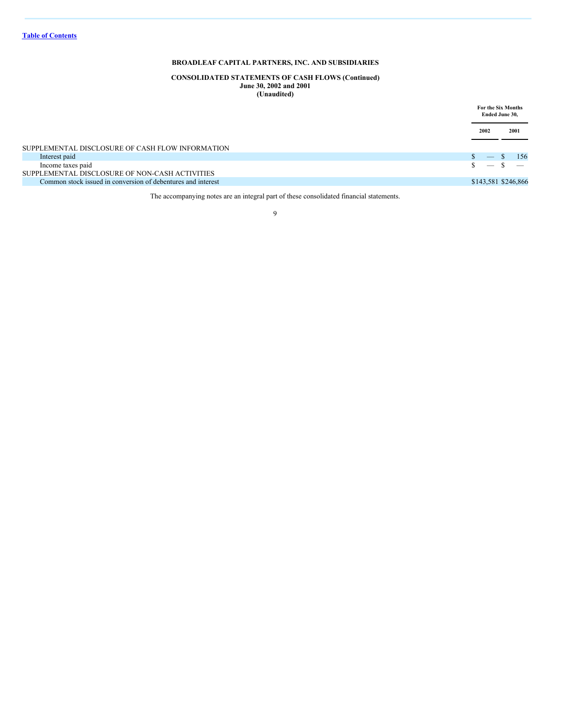#### **CONSOLIDATED STATEMENTS OF CASH FLOWS (Continued) June 30, 2002 and 2001 (Unaudited)**

|                                                              | For the Six Months<br>Ended June 30,  |
|--------------------------------------------------------------|---------------------------------------|
|                                                              | 2001<br>2002                          |
| SUPPLEMENTAL DISCLOSURE OF CASH FLOW INFORMATION             |                                       |
| Interest paid                                                | 156<br>-S<br>$\overline{\phantom{m}}$ |
| Income taxes paid                                            | $\qquad \qquad$                       |
| SUPPLEMENTAL DISCLOSURE OF NON-CASH ACTIVITIES               |                                       |
| Common stock issued in conversion of debentures and interest | \$143,581 \$246,866                   |
|                                                              |                                       |

The accompanying notes are an integral part of these consolidated financial statements.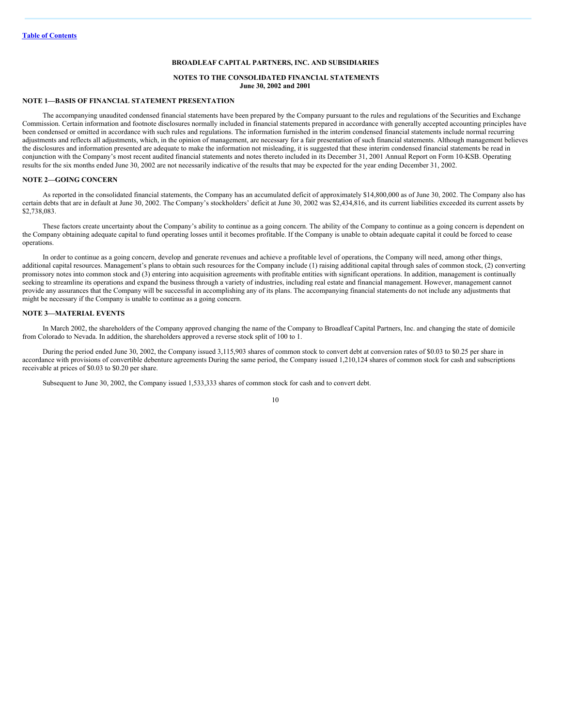#### <span id="page-9-0"></span>**NOTES TO THE CONSOLIDATED FINANCIAL STATEMENTS June 30, 2002 and 2001**

#### **NOTE 1—BASIS OF FINANCIAL STATEMENT PRESENTATION**

The accompanying unaudited condensed financial statements have been prepared by the Company pursuant to the rules and regulations of the Securities and Exchange Commission. Certain information and footnote disclosures normally included in financial statements prepared in accordance with generally accepted accounting principles have been condensed or omitted in accordance with such rules and regulations. The information furnished in the interim condensed financial statements include normal recurring adjustments and reflects all adjustments, which, in the opinion of management, are necessary for a fair presentation of such financial statements. Although management believes the disclosures and information presented are adequate to make the information not misleading, it is suggested that these interim condensed financial statements be read in conjunction with the Company's most recent audited financial statements and notes thereto included in its December 31, 2001 Annual Report on Form 10-KSB. Operating results for the six months ended June 30, 2002 are not necessarily indicative of the results that may be expected for the year ending December 31, 2002.

#### **NOTE 2—GOING CONCERN**

As reported in the consolidated financial statements, the Company has an accumulated deficit of approximately \$14,800,000 as of June 30, 2002. The Company also has certain debts that are in default at June 30, 2002. The Company's stockholders' deficit at June 30, 2002 was \$2,434,816, and its current liabilities exceeded its current assets by \$2,738,083.

These factors create uncertainty about the Company's ability to continue as a going concern. The ability of the Company to continue as a going concern is dependent on the Company obtaining adequate capital to fund operating losses until it becomes profitable. If the Company is unable to obtain adequate capital it could be forced to cease operations.

In order to continue as a going concern, develop and generate revenues and achieve a profitable level of operations, the Company will need, among other things, additional capital resources. Management's plans to obtain such resources for the Company include (1) raising additional capital through sales of common stock, (2) converting promissory notes into common stock and (3) entering into acquisition agreements with profitable entities with significant operations. In addition, management is continually seeking to streamline its operations and expand the business through a variety of industries, including real estate and financial management. However, management cannot provide any assurances that the Company will be successful in accomplishing any of its plans. The accompanying financial statements do not include any adjustments that might be necessary if the Company is unable to continue as a going concern.

#### **NOTE 3—MATERIAL EVENTS**

In March 2002, the shareholders of the Company approved changing the name of the Company to Broadleaf Capital Partners, Inc. and changing the state of domicile from Colorado to Nevada. In addition, the shareholders approved a reverse stock split of 100 to 1.

During the period ended June 30, 2002, the Company issued 3,115,903 shares of common stock to convert debt at conversion rates of \$0.03 to \$0.25 per share in accordance with provisions of convertible debenture agreements During the same period, the Company issued 1,210,124 shares of common stock for cash and subscriptions receivable at prices of \$0.03 to \$0.20 per share.

Subsequent to June 30, 2002, the Company issued 1,533,333 shares of common stock for cash and to convert debt.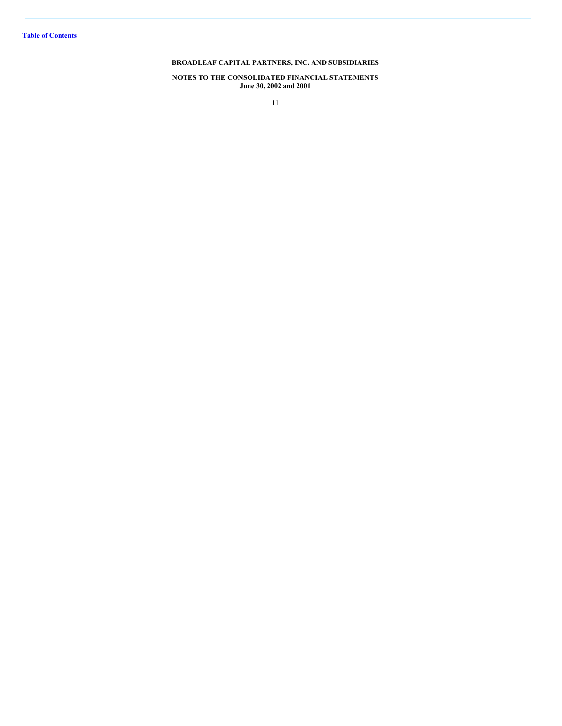**NOTES TO THE CONSOLIDATED FINANCIAL STATEMENTS June 30, 2002 and 2001**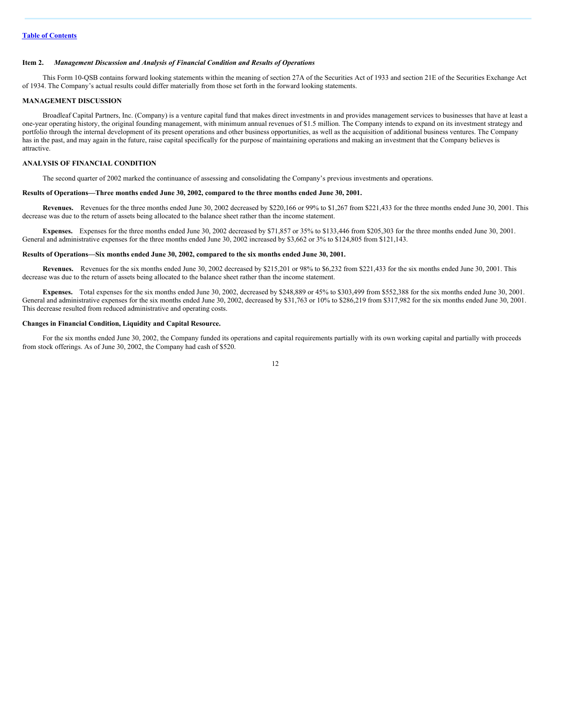#### <span id="page-11-0"></span>**Item 2.** *Management Discussion and Analysis of Financial Condition and Results of Operations*

This Form 10-QSB contains forward looking statements within the meaning of section 27A of the Securities Act of 1933 and section 21E of the Securities Exchange Act of 1934. The Company's actual results could differ materially from those set forth in the forward looking statements.

#### **MANAGEMENT DISCUSSION**

Broadleaf Capital Partners, Inc. (Company) is a venture capital fund that makes direct investments in and provides management services to businesses that have at least a one-year operating history, the original founding management, with minimum annual revenues of \$1.5 million. The Company intends to expand on its investment strategy and portfolio through the internal development of its present operations and other business opportunities, as well as the acquisition of additional business ventures. The Company has in the past, and may again in the future, raise capital specifically for the purpose of maintaining operations and making an investment that the Company believes is attractive.

## **ANALYSIS OF FINANCIAL CONDITION**

The second quarter of 2002 marked the continuance of assessing and consolidating the Company's previous investments and operations.

#### **Results of Operations—Three months ended June 30, 2002, compared to the three months ended June 30, 2001.**

**Revenues.** Revenues for the three months ended June 30, 2002 decreased by \$220,166 or 99% to \$1,267 from \$221,433 for the three months ended June 30, 2001. This decrease was due to the return of assets being allocated to the balance sheet rather than the income statement.

**Expenses.** Expenses for the three months ended June 30, 2002 decreased by \$71,857 or 35% to \$133,446 from \$205,303 for the three months ended June 30, 2001. General and administrative expenses for the three months ended June 30, 2002 increased by \$3,662 or 3% to \$124,805 from \$121,143.

#### **Results of Operations—Six months ended June 30, 2002, compared to the six months ended June 30, 2001.**

**Revenues.** Revenues for the six months ended June 30, 2002 decreased by \$215,201 or 98% to \$6,232 from \$221,433 for the six months ended June 30, 2001. This decrease was due to the return of assets being allocated to the balance sheet rather than the income statement.

Expenses. Total expenses for the six months ended June 30, 2002, decreased by \$248,889 or 45% to \$303,499 from \$552,388 for the six months ended June 30, 2001. General and administrative expenses for the six months ended June 30, 2002, decreased by \$31,763 or 10% to \$286,219 from \$317,982 for the six months ended June 30, 2001. This decrease resulted from reduced administrative and operating costs.

#### **Changes in Financial Condition, Liquidity and Capital Resource.**

For the six months ended June 30, 2002, the Company funded its operations and capital requirements partially with its own working capital and partially with proceeds from stock offerings. As of June 30, 2002, the Company had cash of \$520.

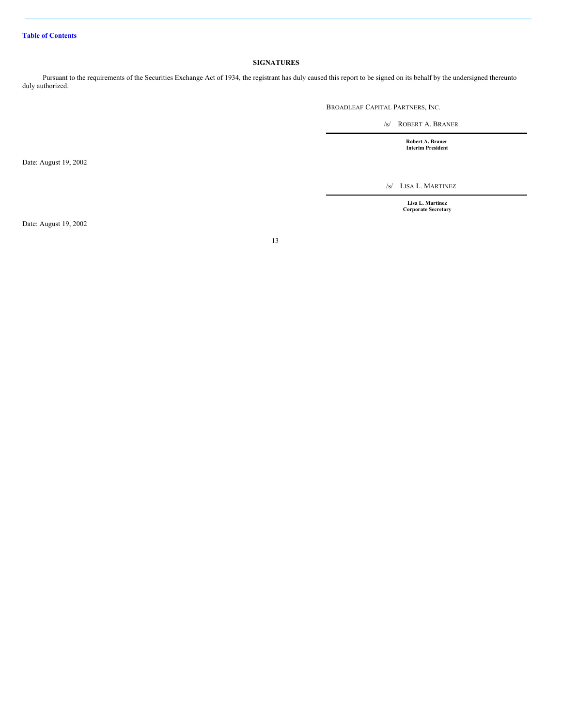#### <span id="page-12-0"></span>**SIGNATURES**

Pursuant to the requirements of the Securities Exchange Act of 1934, the registrant has duly caused this report to be signed on its behalf by the undersigned thereunto duly authorized.

BROADLEAF CAPITAL PARTNERS, INC.

/s/ ROBERT A. BRANER

**Robert A. Braner Interim President**

/s/ LISA L. MARTINEZ

**Lisa L. Martinez Corporate Secretary**

Date: August 19, 2002

13

Date: August 19, 2002